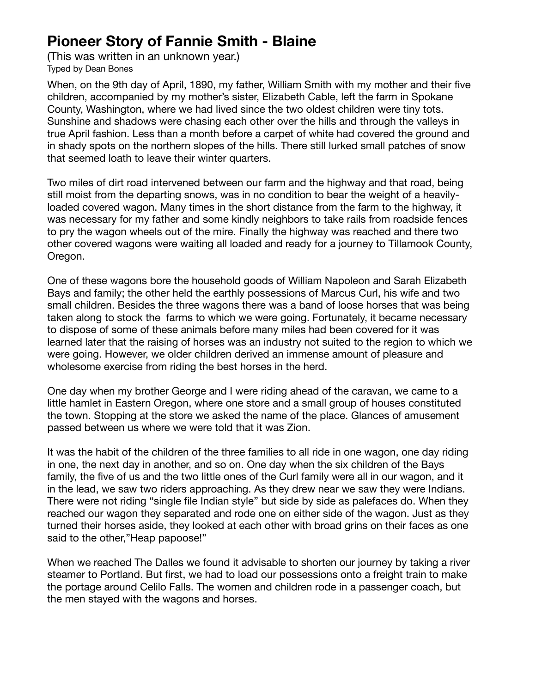## **Pioneer Story of Fannie Smith - Blaine**

(This was written in an unknown year.) Typed by Dean Bones

When, on the 9th day of April, 1890, my father, William Smith with my mother and their five children, accompanied by my mother's sister, Elizabeth Cable, left the farm in Spokane County, Washington, where we had lived since the two oldest children were tiny tots. Sunshine and shadows were chasing each other over the hills and through the valleys in true April fashion. Less than a month before a carpet of white had covered the ground and in shady spots on the northern slopes of the hills. There still lurked small patches of snow that seemed loath to leave their winter quarters.

Two miles of dirt road intervened between our farm and the highway and that road, being still moist from the departing snows, was in no condition to bear the weight of a heavilyloaded covered wagon. Many times in the short distance from the farm to the highway, it was necessary for my father and some kindly neighbors to take rails from roadside fences to pry the wagon wheels out of the mire. Finally the highway was reached and there two other covered wagons were waiting all loaded and ready for a journey to Tillamook County, Oregon.

One of these wagons bore the household goods of William Napoleon and Sarah Elizabeth Bays and family; the other held the earthly possessions of Marcus Curl, his wife and two small children. Besides the three wagons there was a band of loose horses that was being taken along to stock the farms to which we were going. Fortunately, it became necessary to dispose of some of these animals before many miles had been covered for it was learned later that the raising of horses was an industry not suited to the region to which we were going. However, we older children derived an immense amount of pleasure and wholesome exercise from riding the best horses in the herd.

One day when my brother George and I were riding ahead of the caravan, we came to a little hamlet in Eastern Oregon, where one store and a small group of houses constituted the town. Stopping at the store we asked the name of the place. Glances of amusement passed between us where we were told that it was Zion.

It was the habit of the children of the three families to all ride in one wagon, one day riding in one, the next day in another, and so on. One day when the six children of the Bays family, the five of us and the two little ones of the Curl family were all in our wagon, and it in the lead, we saw two riders approaching. As they drew near we saw they were Indians. There were not riding "single file Indian style" but side by side as palefaces do. When they reached our wagon they separated and rode one on either side of the wagon. Just as they turned their horses aside, they looked at each other with broad grins on their faces as one said to the other,"Heap papoose!"

When we reached The Dalles we found it advisable to shorten our journey by taking a river steamer to Portland. But first, we had to load our possessions onto a freight train to make the portage around Celilo Falls. The women and children rode in a passenger coach, but the men stayed with the wagons and horses.